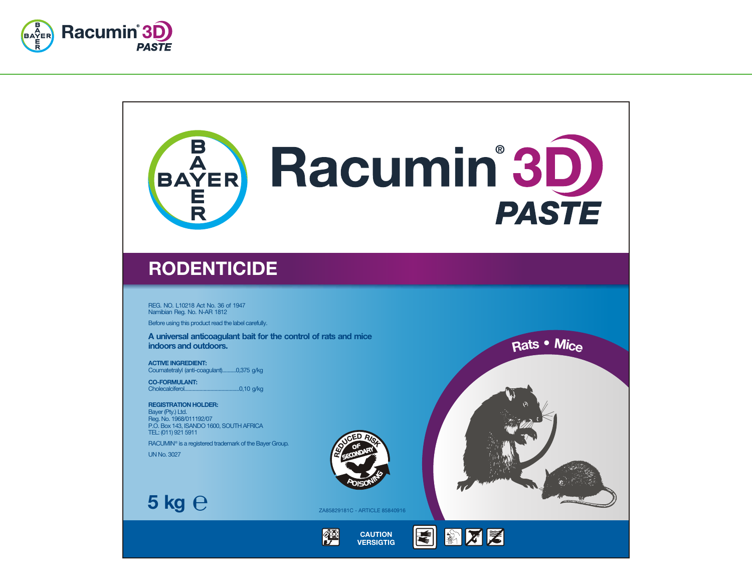